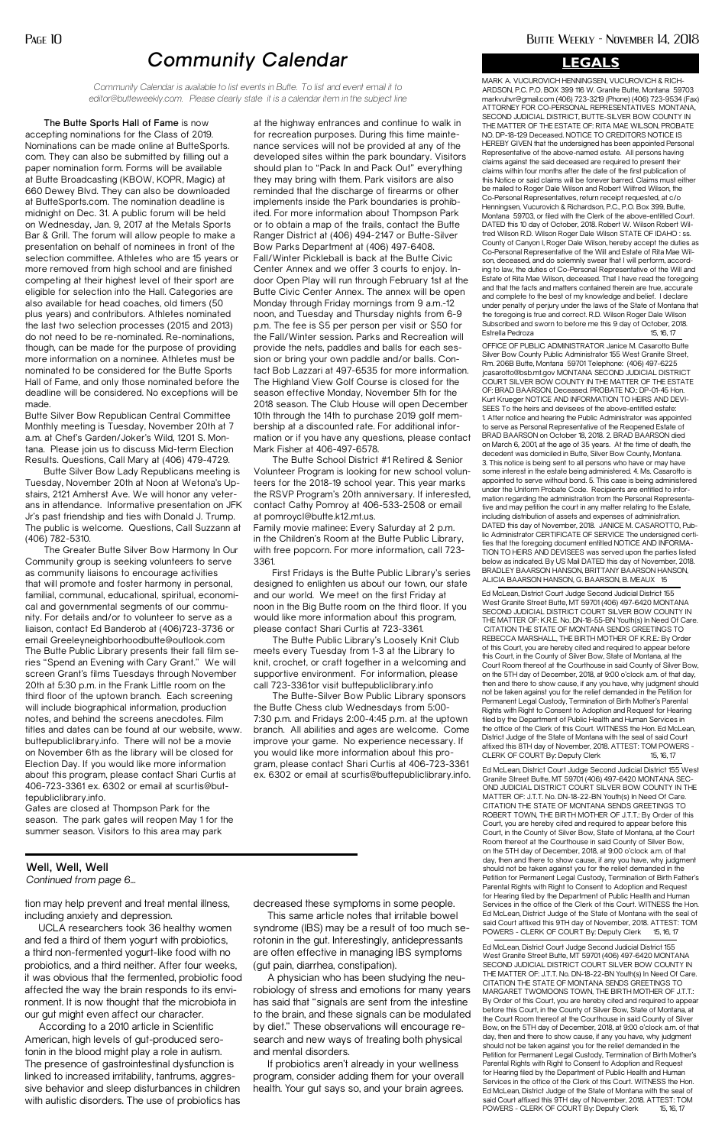**The Butte Sports Hall of Fame** is now accepting nominations for the Class of 2019. Nominations can be made online at ButteSports. com. They can also be submitted by filling out a paper nomination form. Forms will be available at Butte Broadcasting (KBOW, KOPR, Magic) at 660 Dewey Blvd. They can also be downloaded at ButteSports.com. The nomination deadline is midnight on Dec. 31. A public forum will be held on Wednesday, Jan. 9, 2017 at the Metals Sports Bar & Grill. The forum will allow people to make a presentation on behalf of nominees in front of the selection committee. Athletes who are 15 years or more removed from high school and are finished competing at their highest level of their sport are eligible for selection into the Hall. Categories are also available for head coaches, old timers (50 plus years) and contributors. Athletes nominated the last two selection processes (2015 and 2013) do not need to be re-nominated. Re-nominations, though, can be made for the purpose of providing more information on a nominee. Athletes must be nominated to be considered for the Butte Sports Hall of Fame, and only those nominated before the deadline will be considered. No exceptions will be made.

Butte Silver Bow Republican Central Committee Monthly meeting is Tuesday, November 20th at 7 a.m. at Chef's Garden/Joker's Wild, 1201 S. Montana. Please join us to discuss Mid-term Election Results. Questions, Call Mary at (406) 479-4729.

Butte Silver Bow Lady Republicans meeting is Tuesday, November 20th at Noon at Wetona's Upstairs, 2121 Amherst Ave. We will honor any veterans in attendance. Informative presentation on JFK Jr's past friendship and ties with Donald J. Trump. The public is welcome. Questions, Call Suzzann at (406) 782-5310.

The Greater Butte Silver Bow Harmony In Our Community group is seeking volunteers to serve as community liaisons to encourage activities that will promote and foster harmony in personal, familial, communal, educational, spiritual, economical and governmental segments of our community. For details and/or to volunteer to serve as a liaison, contact Ed Banderob at (406)723-3736 or email Greeleyneighborhoodbutte@outlook.com The Butte Public Library presents their fall film series "Spend an Evening with Cary Grant." We will screen Grant's films Tuesdays through November 20th at 5:30 p.m. in the Frank Little room on the third floor of the uptown branch. Each screening will include biographical information, production notes, and behind the screens anecdotes. Film titles and dates can be found at our website, www. buttepubliclibrary.info. There will not be a movie on November 6th as the library will be closed for Election Day. If you would like more information about this program, please contact Shari Curtis at 406-723-3361 ex. 6302 or email at scurtis@buttepubliclibrary.info.

Gates are closed at Thompson Park for the season. The park gates will reopen May 1 for the summer season. Visitors to this area may park

at the highway entrances and continue to walk in for recreation purposes. During this time maintenance services will not be provided at any of the developed sites within the park boundary. Visitors should plan to "Pack In and Pack Out" everything they may bring with them. Park visitors are also reminded that the discharge of firearms or other implements inside the Park boundaries is prohibited. For more information about Thompson Park or to obtain a map of the trails, contact the Butte Ranger District at (406) 494-2147 or Butte-Silver Bow Parks Department at (406) 497-6408. Fall/Winter Pickleball is back at the Butte Civic Center Annex and we offer 3 courts to enjoy. Indoor Open Play will run through February 1st at the Butte Civic Center Annex. The annex will be open Monday through Friday mornings from 9 a.m.-12 noon, and Tuesday and Thursday nights from 6-9 p.m. The fee is \$5 per person per visit or \$50 for the Fall/Winter session. Parks and Recreation will provide the nets, paddles and balls for each session or bring your own paddle and/or balls. Contact Bob Lazzari at 497-6535 for more information. The Highland View Golf Course is closed for the season effective Monday, November 5th for the 2018 season. The Club House will open December 10th through the 14th to purchase 2019 golf membership at a discounted rate. For additional information or if you have any questions, please contact Mark Fisher at 406-497-6578.

MARK A. VUCUROVICH HENNINGSEN, VUCUROVICH & RICH-ARDSON, P.C. P.O. BOX 399 116 W. Granite Butte, Montana 59703 markvuhvr@gmail.com (406) 723-3219 (Phone) (406) 723-9534 (Fax) ATTORNEY FOR CO-PERSONAL REPRESENTATIVES MONTANA, SECOND JUDICIAL DISTRICT, BUTTE-SILVER BOW COUNTY IN THE MATTER OF THE ESTATE OF: RITA MAE WILSON, PROBATE NO. DP-18-129 Deceased. NOTICE TO CREDITORS NOTICE IS HEREBY GIVEN that the undersigned has been appointed Personal Representative of the above-named estate. All persons having claims against the said deceased are required to present their claims within four months after the date of the first publication of this Notice or said claims will be forever barred. Claims must either be mailed to Roger Dale Wilson and Robert Wilfred Wilson, the Co-Personal Representatives, return receipt requested, at c/o Henningsen, Vucurovich & Richardson, P.C., P.O. Box 399, Butte, Montana 59703, or filed with the Clerk of the above-entitled Court. DATED this 10 day of October, 2018. Robert W. Wilson Robert Wilfred Wilson R.D. Wilson Roger Dale Wilson STATE OF IDAHO : ss. County of Canyon I, Roger Dale Wilson, hereby accept the duties as Co-Personal Representative of the Will and Estate of Rita Mae Wilson, deceased, and do solemnly swear that I will perform, according to law, the duties of Co-Personal Representative of the Will and Estate of Rita Mae Wilson, deceased. That I have read the foregoing and that the facts and matters contained therein are true, accurate and complete to the best of my knowledge and belief. I declare under penalty of perjury under the laws of the State of Montana that the foregoing is true and correct. R.D. Wilson Roger Dale Wilson Subscribed and sworn to before me this 9 day of October, 2018. Estrella Pedroza 15, 16, 17

The Butte School District #1 Retired & Senior Volunteer Program is looking for new school volunteers for the 2018-19 school year. This year marks the RSVP Program's 20th anniversary. If interested, contact Cathy Pomroy at 406-533-2508 or email at pomroycl@butte.k12.mt.us.

Family movie matinee: Every Saturday at 2 p.m. in the Children's Room at the Butte Public Library, with free popcorn. For more information, call 723- 3361.

First Fridays is the Butte Public Library's series designed to enlighten us about our town, our state and our world. We meet on the first Friday at noon in the Big Butte room on the third floor. If you would like more information about this program, please contact Shari Curtis at 723-3361.

The Butte Public Library's Loosely Knit Club meets every Tuesday from 1-3 at the Library to knit, crochet, or craft together in a welcoming and supportive environment. For information, please call 723-3361or visit buttepubliclibrary.info

Ed McLean, District Court Judge Second Judicial District 155 West Granite Street Butte, MT 59701 (406) 497-6420 MONTANA SECOND JUDICIAL DISTRICT COURT SILVER BOW COUNTY IN THE MATTER OF: K.R.E. No. DN-18-55-BN Youth(s) In Need Of Care. CITATION THE STATE OF MONTANA SENDS GREETINGS TO REBECCA MARSHALL, THE BIRTH MOTHER OF K.R.E.: By Order of this Court, you are hereby cited and required to appear before this Court, in the County of Silver Bow, State of Montana, at the Court Room thereof at the Courthouse in said County of Silver Bow, on the 5TH day of December, 2018, at 9:00 o'clock a.m. of that day, then and there to show cause, if any you have, why judgment should not be taken against you for the relief demanded in the Petition for Permanent Legal Custody, Termination of Birth Mother's Parental Rights with Right to Consent to Adoption and Request for Hearing filed by the Department of Public Health and Human Services in the office of the Clerk of this Court. WITNESS the Hon. Ed McLean, District Judge of the State of Montana with the seal of said Court affixed this 8TH day of November, 2018. ATTEST: TOM POWERS - CLERK OF COURT By: Deputy Clerk 15, 16, 17

The Butte-Silver Bow Public Library sponsors the Butte Chess club Wednesdays from 5:00- 7:30 p.m. and Fridays 2:00-4:45 p.m. at the uptown branch. All abilities and ages are welcome. Come improve your game. No experience necessary. If you would like more information about this program, please contact Shari Curtis at 406-723-3361 ex. 6302 or email at scurtis@buttepubliclibrary.info.

# *Community Calendar*

*Community Calendar is available to list events in Butte. To list and event email it to editor@butteweekly.com. Please clearly state it is a calendar item in the subject line*

tion may help prevent and treat mental illness, including anxiety and depression.

Ed McLean, District Court Judge Second Judicial District 155 West Granite Street Butte, MT 59701 (406) 497-6420 MONTANA SEC-OND JUDICIAL DISTRICT COURT SILVER BOW COUNTY IN THE MATTER OF: J.T.T. No. DN-18-22-BN Youth(s) In Need Of Care. CITATION THE STATE OF MONTANA SENDS GREETINGS TO ROBERT TOWN, THE BIRTH MOTHER OF J.T.T.: By Order of this Court, you are hereby cited and required to appear before this Court, in the County of Silver Bow, State of Montana, at the Court Room thereof at the Courthouse in said County of Silver Bow, on the 5TH day of December, 2018, at 9:00 o'clock a.m. of that day, then and there to show cause, if any you have, why judgment should not be taken against you for the relief demanded in the Petition for Permanent Legal Custody, Termination of Birth Father's Parental Rights with Right to Consent to Adoption and Request for Hearing filed by the Department of Public Health and Human Services in the office of the Clerk of this Court. WITNESS the Hon. Ed McLean, District Judge of the State of Montana with the seal of said Court affixed this 9TH day of November, 2018. ATTEST: TOM POWERS - CLERK OF COURT By: Deputy Clerk 15, 16, 17 Ed McLean, District Court Judge Second Judicial District 155 West Granite Street Butte, MT 59701 (406) 497-6420 MONTANA SECOND JUDICIAL DISTRICT COURT SILVER BOW COUNTY IN THE MATTER OF: J.T.T. No. DN-18-22-BN Youth(s) In Need Of Care. CITATION THE STATE OF MONTANA SENDS GREETINGS TO MARGARET TWOMOONS TOWN, THE BIRTH MOTHER OF J.T.T.: By Order of this Court, you are hereby cited and required to appear before this Court, in the County of Silver Bow, State of Montana, at the Court Room thereof at the Courthouse in said County of Silver Bow, on the 5TH day of December, 2018, at 9:00 o'clock a.m. of that day, then and there to show cause, if any you have, why judgment should not be taken against you for the relief demanded in the Petition for Permanent Legal Custody, Termination of Birth Mother's Parental Rights with Right to Consent to Adoption and Request for Hearing filed by the Department of Public Health and Human Services in the office of the Clerk of this Court. WITNESS the Hon. Ed McLean, District Judge of the State of Montana with the seal of said Court affixed this 9TH day of November, 2018. ATTEST: TOM POWERS - CLERK OF COURT By: Deputy Clerk 15, 16, 17

UCLA researchers took 36 healthy women and fed a third of them yogurt with probiotics, a third non-fermented yogurt-like food with no probiotics, and a third neither. After four weeks, it was obvious that the fermented, probiotic food affected the way the brain responds to its environment. It is now thought that the microbiota in our gut might even affect our character.

According to a 2010 article in Scientific American, high levels of gut-produced serotonin in the blood might play a role in autism. The presence of gastrointestinal dysfunction is linked to increased irritability, tantrums, aggressive behavior and sleep disturbances in children with autistic disorders. The use of probiotics has decreased these symptoms in some people.

This same article notes that irritable bowel syndrome (IBS) may be a result of too much serotonin in the gut. Interestingly, antidepressants are often effective in managing IBS symptoms (gut pain, diarrhea, constipation).

A physician who has been studying the neurobiology of stress and emotions for many years has said that "signals are sent from the intestine to the brain, and these signals can be modulated by diet." These observations will encourage research and new ways of treating both physical and mental disorders.

If probiotics aren't already in your wellness program, consider adding them for your overall health. Your gut says so, and your brain agrees.

#### **Well, Well, Well** *Continued from page 6...*

OFFICE OF PUBLIC ADMINISTRATOR Janice M. Casarotto Butte Silver Bow County Public Administrator 155 West Granite Street, Rm. 206B Butte, Montana 59701 Telephone: (406) 497-6225 jcasarotto@bsb.mt.gov MONTANA SECOND JUDICIAL DISTRICT COURT SILVER BOW COUNTY IN THE MATTER OF THE ESTATE OF: BRAD BAARSON, Deceased. PROBATE NO.: DP-01-45 Hon. Kurt Krueger NOTICE AND INFORMATION TO HEIRS AND DEVI-SEES To the heirs and devisees of the above-entitled estate: 1. After notice and hearing the Public Administrator was appointed to serve as Personal Representative of the Reopened Estate of BRAD BAARSON on October 18, 2018. 2. BRAD BAARSON died on March 6, 2001, at the age of 35 years. At the time of death, the decedent was domiciled in Butte, Silver Bow County, Montana. 3. This notice is being sent to all persons who have or may have some interest in the estate being administered. 4. Ms. Casarotto is appointed to serve without bond. 5. This case is being administered under the Uniform Probate Code. Recipients are entitled to information regarding the administration from the Personal Representative and may petition the court in any matter relating to the Estate, including distribution of assets and expenses of administration. DATED this day of November, 2018. JANICE M. CASAROTTO, Public Administrator CERTIFICATE OF SERVICE The undersigned certifies that the foregoing document entitled NOTICE AND INFORMA-TION TO HEIRS AND DEVISEES was served upon the parties listed below as indicated. By US Mail DATED this day of November, 2018. BRADLEY BAARSON HANSON, BRITTANY BAARSON HANSON, ALICIA BAARSON HANSON, G. BAARSON, B. MEAUX 15

#### **LEGALS**